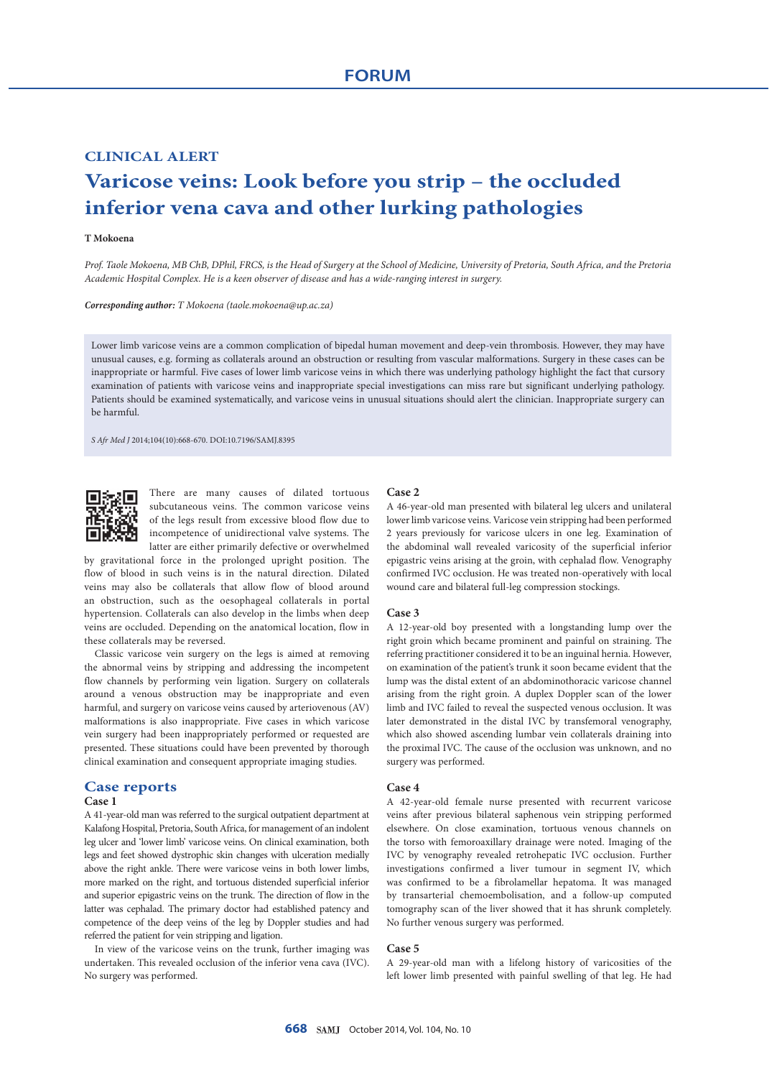# **CLINICAL ALERT Varicose veins: Look before you strip – the occluded inferior vena cava and other lurking pathologies**

#### **T Mokoena**

*Prof. Taole Mokoena, MB ChB, DPhil, FRCS, is the Head of Surgery at the School of Medicine, University of Pretoria, South Africa, and the Pretoria Academic Hospital Complex. He is a keen observer of disease and has a wide-ranging interest in surgery.*

*Corresponding author: T Mokoena (taole.mokoena@up.ac.za)*

Lower limb varicose veins are a common complication of bipedal human movement and deep-vein thrombosis. However, they may have unusual causes, e.g. forming as collaterals around an obstruction or resulting from vascular malformations. Surgery in these cases can be inappropriate or harmful. Five cases of lower limb varicose veins in which there was underlying pathology highlight the fact that cursory examination of patients with varicose veins and inappropriate special investigations can miss rare but significant underlying pathology. Patients should be examined systematically, and varicose veins in unusual situations should alert the clinician. Inappropriate surgery can be harmful.

*S Afr Med J* 2014;104(10):668-670. DOI:10.7196/SAMJ.8395



There are many causes of dilated tortuous subcutaneous veins. The common varicose veins of the legs result from excessive blood flow due to incompetence of unidirectional valve systems. The latter are either primarily defective or overwhelmed

by gravitational force in the prolonged upright position. The flow of blood in such veins is in the natural direction. Dilated veins may also be collaterals that allow flow of blood around an obstruction, such as the oesophageal collaterals in portal hypertension. Collaterals can also develop in the limbs when deep veins are occluded. Depending on the anatomical location, flow in these collaterals may be reversed.

Classic varicose vein surgery on the legs is aimed at removing the abnormal veins by stripping and addressing the incompetent flow channels by performing vein ligation. Surgery on collaterals around a venous obstruction may be inappropriate and even harmful, and surgery on varicose veins caused by arteriovenous (AV) malformations is also inappropriate. Five cases in which varicose vein surgery had been inappropriately performed or requested are presented. These situations could have been prevented by thorough clinical examination and consequent appropriate imaging studies.

#### **Case reports Case 1**

A 41-year-old man was referred to the surgical outpatient department at Kalafong Hospital, Pretoria, South Africa, for management of an indolent leg ulcer and 'lower limb' varicose veins. On clinical examination, both legs and feet showed dystrophic skin changes with ulceration medially above the right ankle. There were varicose veins in both lower limbs, more marked on the right, and tortuous distended superficial inferior and superior epigastric veins on the trunk. The direction of flow in the latter was cephalad. The primary doctor had established patency and competence of the deep veins of the leg by Doppler studies and had referred the patient for vein stripping and ligation.

In view of the varicose veins on the trunk, further imaging was undertaken. This revealed occlusion of the inferior vena cava (IVC). No surgery was performed.

#### **Case 2**

A 46-year-old man presented with bilateral leg ulcers and unilateral lower limb varicose veins. Varicose vein stripping had been performed 2 years previously for varicose ulcers in one leg. Examination of the abdominal wall revealed varicosity of the superficial inferior epigastric veins arising at the groin, with cephalad flow. Venography confirmed IVC occlusion. He was treated non-operatively with local wound care and bilateral full-leg compression stockings.

#### **Case 3**

A 12-year-old boy presented with a longstanding lump over the right groin which became prominent and painful on straining. The referring practitioner considered it to be an inguinal hernia. However, on examination of the patient's trunk it soon became evident that the lump was the distal extent of an abdominothoracic varicose channel arising from the right groin. A duplex Doppler scan of the lower limb and IVC failed to reveal the suspected venous occlusion. It was later demonstrated in the distal IVC by transfemoral venography, which also showed ascending lumbar vein collaterals draining into the proximal IVC. The cause of the occlusion was unknown, and no surgery was performed.

#### **Case 4**

A 42-year-old female nurse presented with recurrent varicose veins after previous bilateral saphenous vein stripping performed elsewhere. On close examination, tortuous venous channels on the torso with femoroaxillary drainage were noted. Imaging of the IVC by venography revealed retrohepatic IVC occlusion. Further investigations confirmed a liver tumour in segment IV, which was confirmed to be a fibrolamellar hepatoma. It was managed by transarterial chemoembolisation, and a follow-up computed tomography scan of the liver showed that it has shrunk completely. No further venous surgery was performed.

#### **Case 5**

A 29-year-old man with a lifelong history of varicosities of the left lower limb presented with painful swelling of that leg. He had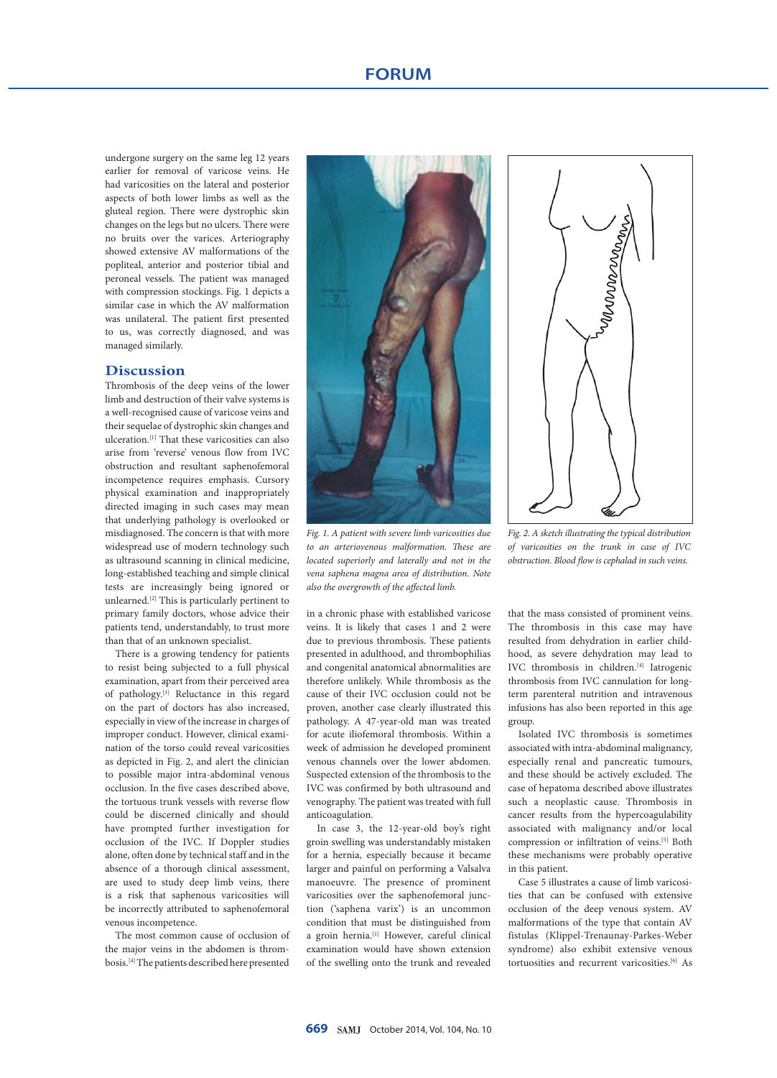# **FORUM**

undergone surgery on the same leg 12 years earlier for removal of varicose veins. He had varicosities on the lateral and posterior aspects of both lower limbs as well as the gluteal region. There were dystrophic skin changes on the legs but no ulcers. There were no bruits over the varices. Arteriography showed extensive AV malformations of the popliteal, anterior and posterior tibial and peroneal vessels. The patient was managed with compression stockings. Fig. 1 depicts a similar case in which the AV malformation was unilateral. The patient first presented to us, was correctly diagnosed, and was managed similarly.

## **Discussion**

Thrombosis of the deep veins of the lower limb and destruction of their valve systems is a well-recognised cause of varicose veins and their sequelae of dystrophic skin changes and ulceration.[1] That these varicosities can also arise from 'reverse' venous flow from IVC obstruction and resultant saphenofemoral incompetence requires emphasis. Cursory physical examination and inappropriately directed imaging in such cases may mean that underlying pathology is overlooked or misdiagnosed. The concern is that with more widespread use of modern technology such as ultrasound scanning in clinical medicine, long-established teaching and simple clinical tests are increasingly being ignored or unlearned.[2] This is particularly pertinent to primary family doctors, whose advice their patients tend, understandably, to trust more than that of an unknown specialist.

There is a growing tendency for patients to resist being subjected to a full physical examination, apart from their perceived area of pathology.<sup>[3]</sup> Reluctance in this regard on the part of doctors has also increased, especially in view of the increase in charges of improper conduct. However, clinical examination of the torso could reveal varicosities as depicted in Fig. 2, and alert the clinician to possible major intra-abdominal venous occlusion. In the five cases described above, the tortuous trunk vessels with reverse flow could be discerned clinically and should have prompted further investigation for occlusion of the IVC. If Doppler studies alone, often done by technical staff and in the absence of a thorough clinical assessment, are used to study deep limb veins, there is a risk that saphenous varicosities will be incorrectly attributed to saphenofemoral venous incompetence.

The most common cause of occlusion of the major veins in the abdomen is thrombosis.[4] The patients described here presented



*Fig. 1. A patient with severe limb varicosities due to an arteriovenous malformation. These are located superiorly and laterally and not in the vena saphena magna area of distribution. Note*  also the overgrowth of the affected limb.

in a chronic phase with established varicose veins. It is likely that cases 1 and 2 were due to previous thrombosis. These patients presented in adulthood, and thrombophilias and congenital anatomical abnormalities are therefore unlikely. While thrombosis as the cause of their IVC occlusion could not be proven, another case clearly illustrated this pathology. A 47-year-old man was treated for acute iliofemoral thrombosis. Within a week of admission he developed prominent venous channels over the lower abdomen. Suspected extension of the thrombosis to the IVC was confirmed by both ultrasound and venography. The patient was treated with full anticoagulation.

In case 3, the 12-year-old boy's right groin swelling was understandably mistaken for a hernia, especially because it became larger and painful on performing a Valsalva manoeuvre. The presence of prominent varicosities over the saphenofemoral junction ('saphena varix') is an uncommon condition that must be distinguished from a groin hernia.<sup>[1]</sup> However, careful clinical examination would have shown extension of the swelling onto the trunk and revealed



*Fig. 2. A sketch illustrating the typical distribution of varicosities on the trunk in case of IVC*   $obstruction.$  Blood flow is cephalad in such veins.

that the mass consisted of prominent veins. The thrombosis in this case may have resulted from dehydration in earlier childhood, as severe dehydration may lead to IVC thrombosis in children.[4] Iatrogenic thrombosis from IVC cannulation for longterm parenteral nutrition and intravenous infusions has also been reported in this age group.

Isolated IVC thrombosis is sometimes associated with intra-abdominal malignancy, especially renal and pancreatic tumours, and these should be actively excluded. The case of hepatoma described above illustrates such a neoplastic cause. Thrombosis in cancer results from the hypercoagulability associated with malignancy and/or local compression or infiltration of veins.[5] Both these mechanisms were probably operative in this patient.

Case 5 illustrates a cause of limb varicosities that can be confused with extensive occlusion of the deep venous system. AV malformations of the type that contain AV fistulas (Klippel-Trenaunay-Parkes-Weber syndrome) also exhibit extensive venous tortuosities and recurrent varicosities.<sup>[6]</sup> As